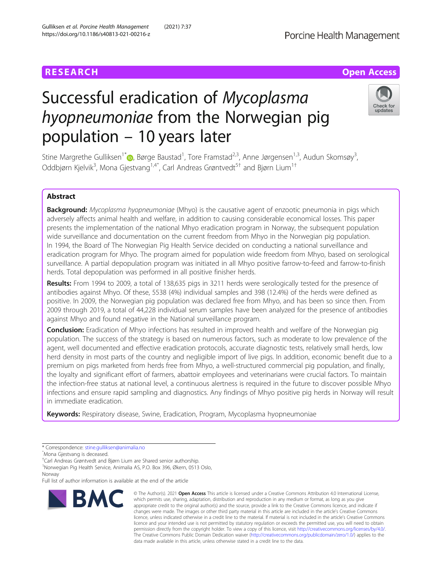https://doi.org/10.1186/s40813-021-00216-z

Gulliksen et al. Porcine Health Management (2021) 7:37

# Successful eradication of Mycoplasma hyopneumoniae from the Norwegian pig population – 10 years later



Stine Margrethe Gulliksen<sup>1\*</sup> (**)**[,](http://orcid.org/0000-0002-0019-9668) Børge Baustad<sup>1</sup>, Tore Framstad<sup>2,3</sup>, Anne Jørgensen<sup>1,3</sup>, Audun Skomsøy<sup>3</sup> , Oddbjørn Kjelvik $^3$ , Mona Gjestvang $^{1,4\hat{}}$ , Carl Andreas Grøntvedt $^{5\hat{+}}$  and Bjørn Lium $^{1\hat{+}}$ 

# Abstract

Background: Mycoplasma hyopneumoniae (Mhyo) is the causative agent of enzootic pneumonia in pigs which adversely affects animal health and welfare, in addition to causing considerable economical losses. This paper presents the implementation of the national Mhyo eradication program in Norway, the subsequent population wide surveillance and documentation on the current freedom from Mhyo in the Norwegian pig population. In 1994, the Board of The Norwegian Pig Health Service decided on conducting a national surveillance and eradication program for Mhyo. The program aimed for population wide freedom from Mhyo, based on serological surveillance. A partial depopulation program was initiated in all Mhyo positive farrow-to-feed and farrow-to-finish herds. Total depopulation was performed in all positive finisher herds.

Results: From 1994 to 2009, a total of 138,635 pigs in 3211 herds were serologically tested for the presence of antibodies against Mhyo. Of these, 5538 (4%) individual samples and 398 (12.4%) of the herds were defined as positive. In 2009, the Norwegian pig population was declared free from Mhyo, and has been so since then. From 2009 through 2019, a total of 44,228 individual serum samples have been analyzed for the presence of antibodies against Mhyo and found negative in the National surveillance program.

**Conclusion:** Eradication of Mhyo infections has resulted in improved health and welfare of the Norwegian pig population. The success of the strategy is based on numerous factors, such as moderate to low prevalence of the agent, well documented and effective eradication protocols, accurate diagnostic tests, relatively small herds, low herd density in most parts of the country and negligible import of live pigs. In addition, economic benefit due to a premium on pigs marketed from herds free from Mhyo, a well-structured commercial pig population, and finally, the loyalty and significant effort of farmers, abattoir employees and veterinarians were crucial factors. To maintain the infection-free status at national level, a continuous alertness is required in the future to discover possible Mhyo infections and ensure rapid sampling and diagnostics. Any findings of Mhyo positive pig herds in Norway will result in immediate eradication.

Keywords: Respiratory disease, Swine, Eradication, Program, Mycoplasma hyopneumoniae

ˆMona Gjestvang is deceased.

† Carl Andreas Grøntvedt and Bjørn Lium are Shared senior authorship.

1 Norwegian Pig Health Service, Animalia AS, P.O. Box 396, Økern, 0513 Oslo, Norway

Full list of author information is available at the end of the article



<sup>©</sup> The Author(s), 2021 **Open Access** This article is licensed under a Creative Commons Attribution 4.0 International License, which permits use, sharing, adaptation, distribution and reproduction in any medium or format, as long as you give appropriate credit to the original author(s) and the source, provide a link to the Creative Commons licence, and indicate if changes were made. The images or other third party material in this article are included in the article's Creative Commons licence, unless indicated otherwise in a credit line to the material. If material is not included in the article's Creative Commons licence and your intended use is not permitted by statutory regulation or exceeds the permitted use, you will need to obtain permission directly from the copyright holder. To view a copy of this licence, visit [http://creativecommons.org/licenses/by/4.0/.](http://creativecommons.org/licenses/by/4.0/) The Creative Commons Public Domain Dedication waiver [\(http://creativecommons.org/publicdomain/zero/1.0/](http://creativecommons.org/publicdomain/zero/1.0/)) applies to the data made available in this article, unless otherwise stated in a credit line to the data.

<sup>\*</sup> Correspondence: [stine.gulliksen@animalia.no](mailto:stine.gulliksen@animalia.no)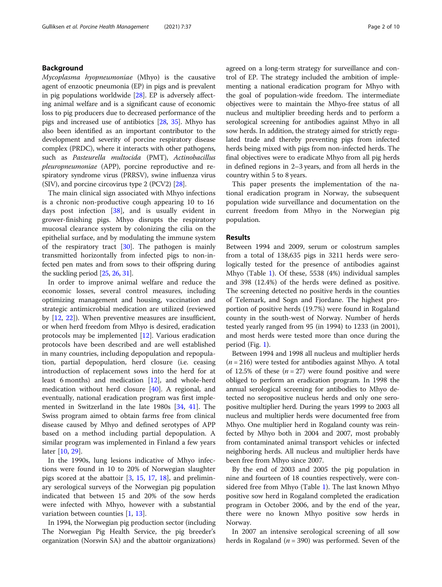# Background

Mycoplasma hyopneumoniae (Mhyo) is the causative agent of enzootic pneumonia (EP) in pigs and is prevalent in pig populations worldwide [[28](#page-9-0)]. EP is adversely affecting animal welfare and is a significant cause of economic loss to pig producers due to decreased performance of the pigs and increased use of antibiotics [[28](#page-9-0), [35](#page-9-0)]. Mhyo has also been identified as an important contributor to the development and severity of porcine respiratory disease complex (PRDC), where it interacts with other pathogens, such as Pasteurella multocida (PMT), Actinobacillus pleuropneumoniae (APP), porcine reproductive and respiratory syndrome virus (PRRSV), swine influenza virus (SIV), and porcine circovirus type 2 (PCV2) [[28](#page-9-0)].

The main clinical sign associated with Mhyo infections is a chronic non-productive cough appearing 10 to 16 days post infection [\[38](#page-9-0)], and is usually evident in grower-finishing pigs. Mhyo disrupts the respiratory mucosal clearance system by colonizing the cilia on the epithelial surface, and by modulating the immune system of the respiratory tract [[30](#page-9-0)]. The pathogen is mainly transmitted horizontally from infected pigs to non-infected pen mates and from sows to their offspring during the suckling period [\[25,](#page-9-0) [26,](#page-9-0) [31\]](#page-9-0).

In order to improve animal welfare and reduce the economic losses, several control measures, including optimizing management and housing, vaccination and strategic antimicrobial medication are utilized (reviewed by [\[12,](#page-9-0) [22\]](#page-9-0)). When preventive measures are insufficient, or when herd freedom from Mhyo is desired, eradication protocols may be implemented [[12\]](#page-9-0). Various eradication protocols have been described and are well established in many countries, including depopulation and repopulation, partial depopulation, herd closure (i.e. ceasing introduction of replacement sows into the herd for at least 6 months) and medication [[12](#page-9-0)], and whole-herd medication without herd closure [[40\]](#page-9-0). A regional, and eventually, national eradication program was first implemented in Switzerland in the late 1980s [[34,](#page-9-0) [41](#page-9-0)]. The Swiss program aimed to obtain farms free from clinical disease caused by Mhyo and defined serotypes of APP based on a method including partial depopulation. A similar program was implemented in Finland a few years later [[10,](#page-9-0) [29\]](#page-9-0).

In the 1990s, lung lesions indicative of Mhyo infections were found in 10 to 20% of Norwegian slaughter pigs scored at the abattoir [\[3,](#page-8-0) [15,](#page-9-0) [17](#page-9-0), [18\]](#page-9-0), and preliminary serological surveys of the Norwegian pig population indicated that between 15 and 20% of the sow herds were infected with Mhyo, however with a substantial variation between counties [\[1](#page-8-0), [13](#page-9-0)].

In 1994, the Norwegian pig production sector (including The Norwegian Pig Health Service, the pig breeder's organization (Norsvin SA) and the abattoir organizations) agreed on a long-term strategy for surveillance and control of EP. The strategy included the ambition of implementing a national eradication program for Mhyo with the goal of population-wide freedom. The intermediate objectives were to maintain the Mhyo-free status of all nucleus and multiplier breeding herds and to perform a serological screening for antibodies against Mhyo in all sow herds. In addition, the strategy aimed for strictly regulated trade and thereby preventing pigs from infected herds being mixed with pigs from non-infected herds. The final objectives were to eradicate Mhyo from all pig herds in defined regions in 2–3 years, and from all herds in the country within 5 to 8 years.

This paper presents the implementation of the national eradication program in Norway, the subsequent population wide surveillance and documentation on the current freedom from Mhyo in the Norwegian pig population.

#### **Results**

Between 1994 and 2009, serum or colostrum samples from a total of 138,635 pigs in 3211 herds were serologically tested for the presence of antibodies against Mhyo (Table [1](#page-2-0)). Of these, 5538 (4%) individual samples and 398 (12.4%) of the herds were defined as positive. The screening detected no positive herds in the counties of Telemark, and Sogn and Fjordane. The highest proportion of positive herds (19.7%) were found in Rogaland county in the south-west of Norway. Number of herds tested yearly ranged from 95 (in 1994) to 1233 (in 2001), and most herds were tested more than once during the period (Fig. [1](#page-2-0)).

Between 1994 and 1998 all nucleus and multiplier herds  $(n = 216)$  were tested for antibodies against Mhyo. A total of 12.5% of these  $(n = 27)$  were found positive and were obliged to perform an eradication program. In 1998 the annual serological screening for antibodies to Mhyo detected no seropositive nucleus herds and only one seropositive multiplier herd. During the years 1999 to 2003 all nucleus and multiplier herds were documented free from Mhyo. One multiplier herd in Rogaland county was reinfected by Mhyo both in 2004 and 2007, most probably from contaminated animal transport vehicles or infected neighboring herds. All nucleus and multiplier herds have been free from Mhyo since 2007.

By the end of 2003 and 2005 the pig population in nine and fourteen of 18 counties respectively, were considered free from Mhyo (Table [1](#page-2-0)). The last known Mhyo positive sow herd in Rogaland completed the eradication program in October 2006, and by the end of the year, there were no known Mhyo positive sow herds in Norway.

In 2007 an intensive serological screening of all sow herds in Rogaland ( $n = 390$ ) was performed. Seven of the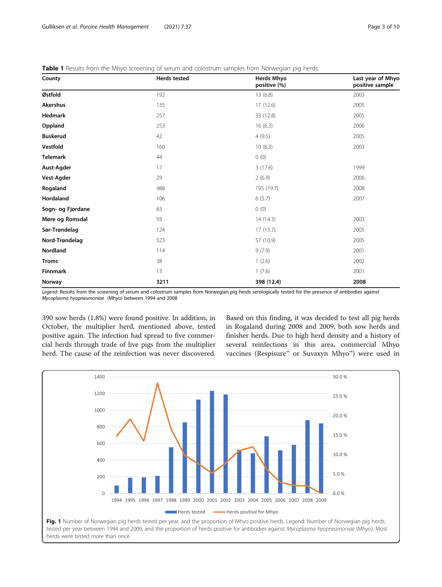| County            | <b>Herds tested</b> | <b>Herds Mhyo</b><br>positive (%) | Last year of Mhyo<br>positive sample |  |  |
|-------------------|---------------------|-----------------------------------|--------------------------------------|--|--|
| Østfold           | 192                 | 13(6.8)                           | 2003                                 |  |  |
| Akershus          | 135                 | 17 (12.6)                         | 2005                                 |  |  |
| Hedmark           | 257                 | 33 (12.8)                         | 2005                                 |  |  |
| Oppland           | 253                 | 16(6.3)                           | 2006                                 |  |  |
| <b>Buskerud</b>   | 42                  | 4(9.5)                            | 2005                                 |  |  |
| Vestfold          | 160                 | 10(6.3)                           | 2003                                 |  |  |
| <b>Telemark</b>   | 44                  | 0(0)                              |                                      |  |  |
| Aust-Agder        | 17                  | 3(17.6)                           | 1999                                 |  |  |
| Vest-Agder        | 29                  | 2(6.9)                            | 2006                                 |  |  |
| Rogaland          | 988                 | 195 (19.7)                        | 2008                                 |  |  |
| Hordaland         | 106                 | 6(5.7)                            | 2007                                 |  |  |
| Sogn- og Fjordane | 83                  | 0(0)                              |                                      |  |  |
| Møre og Romsdal   | 93                  | 14(14.3)                          | 2003                                 |  |  |
| Sør-Trøndelag     | 124                 | 17(13.7)                          | 2005                                 |  |  |
| Nord-Trøndelag    | 523                 | 57 (10.9)                         | 2005                                 |  |  |
| Nordland          | 114                 | 9(7.9)                            | 2001                                 |  |  |
| <b>Troms</b>      | 38                  | 1(2.6)                            | 2002                                 |  |  |
| Finnmark          | 13                  | 1(7.6)                            | 2001                                 |  |  |
| Norway            | 3211                | 398 (12.4)                        | 2008                                 |  |  |

<span id="page-2-0"></span>Table 1 Results from the Mhyo screening of serum and colostrum samples from Norwegian pig herds

Legend: Results from the screening of serum and colostrum samples from Norwegian pig herds serologically tested for the presence of antibodies against Mycoplasma hyopneumoniae (Mhyo) between 1994 and 2008

390 sow herds (1.8%) were found positive. In addition, in October, the multiplier herd, mentioned above, tested positive again. The infection had spread to five commercial herds through trade of live pigs from the multiplier herd. The cause of the reinfection was never discovered.

Based on this finding, it was decided to test all pig herds in Rogaland during 2008 and 2009, both sow herds and finisher herds. Due to high herd density and a history of several reinfections in this area, commercial Mhyo vaccines (Respisure™ or Suvaxyn Mhyo™) were used in

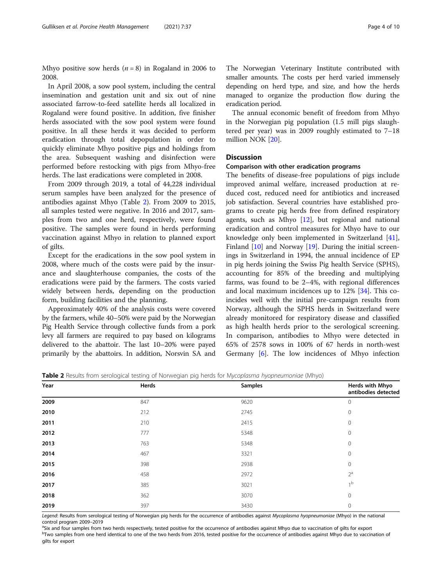Mhyo positive sow herds  $(n = 8)$  in Rogaland in 2006 to 2008.

In April 2008, a sow pool system, including the central insemination and gestation unit and six out of nine associated farrow-to-feed satellite herds all localized in Rogaland were found positive. In addition, five finisher herds associated with the sow pool system were found positive. In all these herds it was decided to perform eradication through total depopulation in order to quickly eliminate Mhyo positive pigs and holdings from the area. Subsequent washing and disinfection were performed before restocking with pigs from Mhyo-free herds. The last eradications were completed in 2008.

From 2009 through 2019, a total of 44,228 individual serum samples have been analyzed for the presence of antibodies against Mhyo (Table 2). From 2009 to 2015, all samples tested were negative. In 2016 and 2017, samples from two and one herd, respectively, were found positive. The samples were found in herds performing vaccination against Mhyo in relation to planned export of gilts.

Except for the eradications in the sow pool system in 2008, where much of the costs were paid by the insurance and slaughterhouse companies, the costs of the eradications were paid by the farmers. The costs varied widely between herds, depending on the production form, building facilities and the planning.

Approximately 40% of the analysis costs were covered by the farmers, while 40–50% were paid by the Norwegian Pig Health Service through collective funds from a pork levy all farmers are required to pay based on kilograms delivered to the abattoir. The last 10–20% were payed primarily by the abattoirs. In addition, Norsvin SA and

gilts for export

The Norwegian Veterinary Institute contributed with smaller amounts. The costs per herd varied immensely depending on herd type, and size, and how the herds managed to organize the production flow during the eradication period.

The annual economic benefit of freedom from Mhyo in the Norwegian pig population (1.5 mill pigs slaughtered per year) was in 2009 roughly estimated to 7–18 million NOK [\[20](#page-9-0)].

# **Discussion**

# Comparison with other eradication programs

The benefits of disease-free populations of pigs include improved animal welfare, increased production at reduced cost, reduced need for antibiotics and increased job satisfaction. Several countries have established programs to create pig herds free from defined respiratory agents, such as Mhyo  $[12]$  $[12]$ , but regional and national eradication and control measures for Mhyo have to our knowledge only been implemented in Switzerland [\[41](#page-9-0)], Finland [[10\]](#page-9-0) and Norway [\[19](#page-9-0)]. During the initial screenings in Switzerland in 1994, the annual incidence of EP in pig herds joining the Swiss Pig health Service (SPHS), accounting for 85% of the breeding and multiplying farms, was found to be 2–4%, with regional differences and local maximum incidences up to 12% [\[34](#page-9-0)]. This coincides well with the initial pre-campaign results from Norway, although the SPHS herds in Switzerland were already monitored for respiratory disease and classified as high health herds prior to the serological screening. In comparison, antibodies to Mhyo were detected in 65% of 2578 sows in 100% of 67 herds in north-west Germany [[6](#page-8-0)]. The low incidences of Mhyo infection

Table 2 Results from serological testing of Norwegian pig herds for Mycoplasma hyopneumoniae (Mhyo)

|      | $\tilde{\phantom{a}}$<br>$\tilde{}$<br>. | $\overline{\phantom{a}}$<br>$\sim$<br>$\sim$ |                                        |
|------|------------------------------------------|----------------------------------------------|----------------------------------------|
| Year | Herds                                    | <b>Samples</b>                               | Herds with Mhyo<br>antibodies detected |
| 2009 | 847                                      | 9620                                         | $\mathbf 0$                            |
| 2010 | 212                                      | 2745                                         | $\mathbf 0$                            |
| 2011 | 210                                      | 2415                                         | $\mathbf 0$                            |
| 2012 | 777                                      | 5348                                         | $\mathbf 0$                            |
| 2013 | 763                                      | 5348                                         | $\mathbf 0$                            |
| 2014 | 467                                      | 3321                                         | $\mathbf 0$                            |
| 2015 | 398                                      | 2938                                         | $\mathbf 0$                            |
| 2016 | 458                                      | 2972                                         | $2^a$                                  |
| 2017 | 385                                      | 3021                                         | 1 <sup>b</sup>                         |
| 2018 | 362                                      | 3070                                         | $\mathbf 0$                            |
| 2019 | 397                                      | 3430                                         | $\mathbf 0$                            |

Legend: Results from serological testing of Norwegian pig herds for the occurrence of antibodies against Mycoplasma hyopneumoniae (Mhyo) in the national control program 2009-2019

<sup>3</sup>Six and four samples from two herds respectively, tested positive for the occurrence of antibodies against Mhyo due to vaccination of gilts for export b<br>Two samples from one herd identical to one of the two herds from 2016, tested positive for the occurrence of antibodies against Mhyo due to vaccination of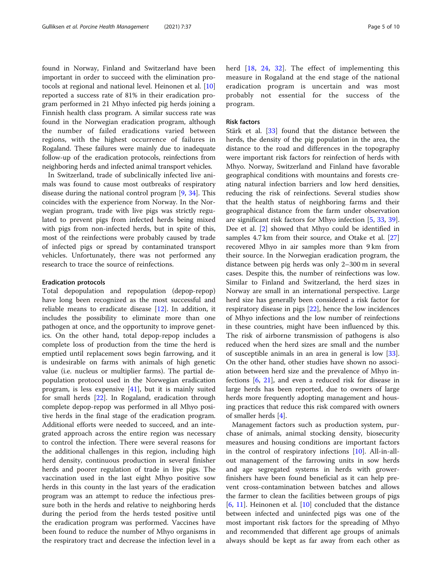found in Norway, Finland and Switzerland have been important in order to succeed with the elimination protocols at regional and national level. Heinonen et al. [[10](#page-9-0)] reported a success rate of 81% in their eradication program performed in 21 Mhyo infected pig herds joining a Finnish health class program. A similar success rate was found in the Norwegian eradication program, although the number of failed eradications varied between regions, with the highest occurrence of failures in Rogaland. These failures were mainly due to inadequate follow-up of the eradication protocols, reinfections from neighboring herds and infected animal transport vehicles.

In Switzerland, trade of subclinically infected live animals was found to cause most outbreaks of respiratory disease during the national control program [[9,](#page-8-0) [34\]](#page-9-0). This coincides with the experience from Norway. In the Norwegian program, trade with live pigs was strictly regulated to prevent pigs from infected herds being mixed with pigs from non-infected herds, but in spite of this, most of the reinfections were probably caused by trade of infected pigs or spread by contaminated transport vehicles. Unfortunately, there was not performed any research to trace the source of reinfections.

#### Eradication protocols

Total depopulation and repopulation (depop-repop) have long been recognized as the most successful and reliable means to eradicate disease [[12](#page-9-0)]. In addition, it includes the possibility to eliminate more than one pathogen at once, and the opportunity to improve genetics. On the other hand, total depop-repop includes a complete loss of production from the time the herd is emptied until replacement sows begin farrowing, and it is undesirable on farms with animals of high genetic value (i.e. nucleus or multiplier farms). The partial depopulation protocol used in the Norwegian eradication program, is less expensive  $[41]$  $[41]$ , but it is mainly suited for small herds [[22\]](#page-9-0). In Rogaland, eradication through complete depop-repop was performed in all Mhyo positive herds in the final stage of the eradication program. Additional efforts were needed to succeed, and an integrated approach across the entire region was necessary to control the infection. There were several reasons for the additional challenges in this region, including high herd density, continuous production in several finisher herds and poorer regulation of trade in live pigs. The vaccination used in the last eight Mhyo positive sow herds in this county in the last years of the eradication program was an attempt to reduce the infectious pressure both in the herds and relative to neighboring herds during the period from the herds tested positive until the eradication program was performed. Vaccines have been found to reduce the number of Mhyo organisms in the respiratory tract and decrease the infection level in a herd [\[18,](#page-9-0) [24](#page-9-0), [32](#page-9-0)]. The effect of implementing this measure in Rogaland at the end stage of the national eradication program is uncertain and was most probably not essential for the success of the program.

# Risk factors

Stärk et al. [\[33](#page-9-0)] found that the distance between the herds, the density of the pig population in the area, the distance to the road and differences in the topography were important risk factors for reinfection of herds with Mhyo. Norway, Switzerland and Finland have favorable geographical conditions with mountains and forests creating natural infection barriers and low herd densities, reducing the risk of reinfections. Several studies show that the health status of neighboring farms and their geographical distance from the farm under observation are significant risk factors for Mhyo infection [\[5](#page-8-0), [33](#page-9-0), [39](#page-9-0)]. Dee et al. [[2\]](#page-8-0) showed that Mhyo could be identified in samples 4.7 km from their source, and Otake et al. [[27](#page-9-0)] recovered Mhyo in air samples more than 9 km from their source. In the Norwegian eradication program, the distance between pig herds was only 2–300 m in several cases. Despite this, the number of reinfections was low. Similar to Finland and Switzerland, the herd sizes in Norway are small in an international perspective. Large herd size has generally been considered a risk factor for respiratory disease in pigs [\[22\]](#page-9-0), hence the low incidences of Mhyo infections and the low number of reinfections in these countries, might have been influenced by this. The risk of airborne transmission of pathogens is also reduced when the herd sizes are small and the number of susceptible animals in an area in general is low [\[33](#page-9-0)]. On the other hand, other studies have shown no association between herd size and the prevalence of Mhyo infections [[6,](#page-8-0) [21](#page-9-0)], and even a reduced risk for disease in large herds has been reported, due to owners of large herds more frequently adopting management and housing practices that reduce this risk compared with owners of smaller herds [[4\]](#page-8-0).

Management factors such as production system, purchase of animals, animal stocking density, biosecurity measures and housing conditions are important factors in the control of respiratory infections [\[10](#page-9-0)]. All-in-allout management of the farrowing units in sow herds and age segregated systems in herds with growerfinishers have been found beneficial as it can help prevent cross-contamination between batches and allows the farmer to clean the facilities between groups of pigs [[6,](#page-8-0) [11](#page-9-0)]. Heinonen et al. [\[10](#page-9-0)] concluded that the distance between infected and uninfected pigs was one of the most important risk factors for the spreading of Mhyo and recommended that different age groups of animals always should be kept as far away from each other as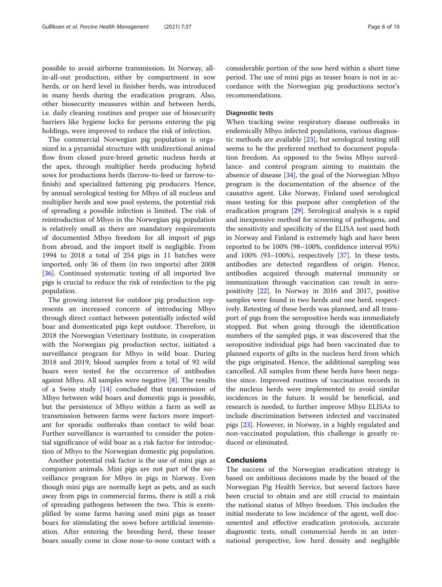possible to avoid airborne transmission. In Norway, allin-all-out production, either by compartment in sow herds, or on herd level in finisher herds, was introduced in many herds during the eradication program. Also, other biosecurity measures within and between herds, i.e. daily cleaning routines and proper use of biosecurity barriers like hygiene locks for persons entering the pig holdings, were improved to reduce the risk of infection.

The commercial Norwegian pig population is organized in a pyramidal structure with unidirectional animal flow from closed pure-breed genetic nucleus herds at the apex, through multiplier herds producing hybrid sows for productions herds (farrow-to-feed or farrow-tofinish) and specialized fattening pig producers. Hence, by annual serological testing for Mhyo of all nucleus and multiplier herds and sow pool systems, the potential risk of spreading a possible infection is limited. The risk of reintroduction of Mhyo in the Norwegian pig population is relatively small as there are mandatory requirements of documented Mhyo freedom for all import of pigs from abroad, and the import itself is negligible. From 1994 to 2018 a total of 254 pigs in 11 batches were imported, only 36 of them (in two imports) after 2008 [[36\]](#page-9-0). Continued systematic testing of all imported live pigs is crucial to reduce the risk of reinfection to the pig population.

The growing interest for outdoor pig production represents an increased concern of introducing Mhyo through direct contact between potentially infected wild boar and domesticated pigs kept outdoor. Therefore, in 2018 the Norwegian Veterinary Institute, in cooperation with the Norwegian pig production sector, initiated a surveillance program for Mhyo in wild boar. During 2018 and 2019, blood samples from a total of 92 wild boars were tested for the occurrence of antibodies against Mhyo. All samples were negative [[8\]](#page-8-0). The results of a Swiss study [[14\]](#page-9-0) concluded that transmission of Mhyo between wild boars and domestic pigs is possible, but the persistence of Mhyo within a farm as well as transmission between farms were factors more important for sporadic outbreaks than contact to wild boar. Further surveillance is warranted to consider the potential significance of wild boar as a risk factor for introduction of Mhyo to the Norwegian domestic pig population.

Another potential risk factor is the use of mini pigs as companion animals. Mini pigs are not part of the surveillance program for Mhyo in pigs in Norway. Even though mini pigs are normally kept as pets, and as such away from pigs in commercial farms, there is still a risk of spreading pathogens between the two. This is exemplified by some farms having used mini pigs as teaser boars for stimulating the sows before artificial insemination. After entering the breeding herd, these teaser boars usually come in close nose-to-nose contact with a considerable portion of the sow herd within a short time period. The use of mini pigs as teaser boars is not in accordance with the Norwegian pig productions sector's recommendations.

## Diagnostic tests

When tracking swine respiratory disease outbreaks in endemically Mhyo infected populations, various diagnostic methods are available [[23](#page-9-0)], but serological testing still seems to be the preferred method to document population freedom. As opposed to the Swiss Mhyo surveillance- and control program aiming to maintain the absence of disease [[34](#page-9-0)], the goal of the Norwegian Mhyo program is the documentation of the absence of the causative agent. Like Norway, Finland used serological mass testing for this purpose after completion of the eradication program [\[29\]](#page-9-0). Serological analysis is a rapid and inexpensive method for screening of pathogens, and the sensitivity and specificity of the ELISA test used both in Norway and Finland is extremely high and have been reported to be 100% (98–100%, confidence interval 95%) and  $100\%$  (93–100%), respectively [\[37\]](#page-9-0). In these tests, antibodies are detected regardless of origin. Hence, antibodies acquired through maternal immunity or immunization through vaccination can result in seropositivity [\[22\]](#page-9-0). In Norway in 2016 and 2017, positive samples were found in two herds and one herd, respectively. Retesting of these herds was planned, and all transport of pigs from the seropositive herds was immediately stopped. But when going through the identification numbers of the sampled pigs, it was discovered that the seropositive individual pigs had been vaccinated due to planned exports of gilts in the nucleus herd from which the pigs originated. Hence, the additional sampling was cancelled. All samples from these herds have been negative since. Improved routines of vaccination records in the nucleus herds were implemented to avoid similar incidences in the future. It would be beneficial, and research is needed, to further improve Mhyo ELISAs to include discrimination between infected and vaccinated pigs [\[23](#page-9-0)]. However, in Norway, in a highly regulated and non-vaccinated population, this challenge is greatly reduced or eliminated.

# Conclusions

The success of the Norwegian eradication strategy is based on ambitious decisions made by the board of the Norwegian Pig Health Service, but several factors have been crucial to obtain and are still crucial to maintain the national status of Mhyo freedom. This includes the initial moderate to low incidence of the agent, well documented and effective eradication protocols, accurate diagnostic tests, small commercial herds in an international perspective, low herd density and negligible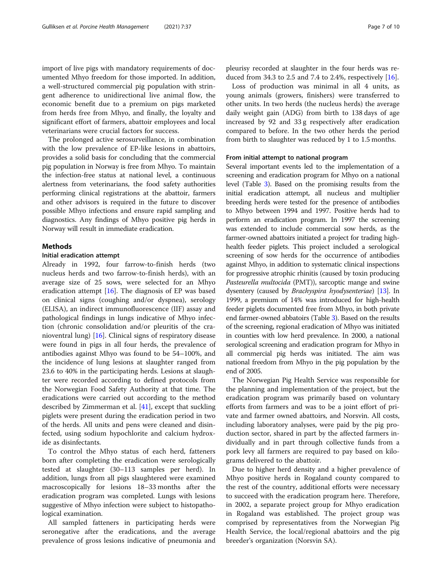import of live pigs with mandatory requirements of documented Mhyo freedom for those imported. In addition, a well-structured commercial pig population with stringent adherence to unidirectional live animal flow, the economic benefit due to a premium on pigs marketed from herds free from Mhyo, and finally, the loyalty and significant effort of farmers, abattoir employees and local veterinarians were crucial factors for success.

The prolonged active serosurveillance, in combination with the low prevalence of EP-like lesions in abattoirs, provides a solid basis for concluding that the commercial pig population in Norway is free from Mhyo. To maintain the infection-free status at national level, a continuous alertness from veterinarians, the food safety authorities performing clinical registrations at the abattoir, farmers and other advisors is required in the future to discover possible Mhyo infections and ensure rapid sampling and diagnostics. Any findings of Mhyo positive pig herds in Norway will result in immediate eradication.

# Methods

#### Initial eradication attempt

Already in 1992, four farrow-to-finish herds (two nucleus herds and two farrow-to-finish herds), with an average size of 25 sows, were selected for an Mhyo eradication attempt  $[16]$  $[16]$ . The diagnosis of EP was based on clinical signs (coughing and/or dyspnea), serology (ELISA), an indirect immunofluorescence (IIF) assay and pathological findings in lungs indicative of Mhyo infection (chronic consolidation and/or pleuritis of the cranioventral lung) [\[16](#page-9-0)]. Clinical signs of respiratory disease were found in pigs in all four herds, the prevalence of antibodies against Mhyo was found to be 54–100%, and the incidence of lung lesions at slaughter ranged from 23.6 to 40% in the participating herds. Lesions at slaughter were recorded according to defined protocols from the Norwegian Food Safety Authority at that time. The eradications were carried out according to the method described by Zimmerman et al. [[41](#page-9-0)], except that suckling piglets were present during the eradication period in two of the herds. All units and pens were cleaned and disinfected, using sodium hypochlorite and calcium hydroxide as disinfectants.

To control the Mhyo status of each herd, fatteners born after completing the eradication were serologically tested at slaughter (30–113 samples per herd). In addition, lungs from all pigs slaughtered were examined macroscopically for lesions 18–33 months after the eradication program was completed. Lungs with lesions suggestive of Mhyo infection were subject to histopathological examination.

All sampled fatteners in participating herds were seronegative after the eradications, and the average prevalence of gross lesions indicative of pneumonia and

pleurisy recorded at slaughter in the four herds was reduced from 34.3 to 2.5 and 7.4 to 2.4%, respectively [\[16](#page-9-0)].

Loss of production was minimal in all 4 units, as young animals (growers, finishers) were transferred to other units. In two herds (the nucleus herds) the average daily weight gain (ADG) from birth to 138 days of age increased by 92 and 33 g respectively after eradication compared to before. In the two other herds the period from birth to slaughter was reduced by 1 to 1.5 months.

#### From initial attempt to national program

Several important events led to the implementation of a screening and eradication program for Mhyo on a national level (Table [3\)](#page-7-0). Based on the promising results from the initial eradication attempt, all nucleus and multiplier breeding herds were tested for the presence of antibodies to Mhyo between 1994 and 1997. Positive herds had to perform an eradication program. In 1997 the screening was extended to include commercial sow herds, as the farmer-owned abattoirs initiated a project for trading highhealth feeder piglets. This project included a serological screening of sow herds for the occurrence of antibodies against Mhyo, in addition to systematic clinical inspections for progressive atrophic rhinitis (caused by toxin producing Pasteurella multocida (PMT)), sarcoptic mange and swine dysentery (caused by *Brachyspira hyodysenteriae*) [\[13](#page-9-0)]. In 1999, a premium of 14% was introduced for high-health feeder piglets documented free from Mhyo, in both private end farmer-owned abbatoirs (Table [3\)](#page-7-0). Based on the results of the screening, regional eradication of Mhyo was initiated in counties with low herd prevalence. In 2000, a national serological screening and eradication program for Mhyo in all commercial pig herds was initiated. The aim was national freedom from Mhyo in the pig population by the end of 2005.

The Norwegian Pig Health Service was responsible for the planning and implementation of the project, but the eradication program was primarily based on voluntary efforts from farmers and was to be a joint effort of private and farmer owned abattoirs, and Norsvin. All costs, including laboratory analyses, were paid by the pig production sector, shared in part by the affected farmers individually and in part through collective funds from a pork levy all farmers are required to pay based on kilograms delivered to the abattoir.

Due to higher herd density and a higher prevalence of Mhyo positive herds in Rogaland county compared to the rest of the country, additional efforts were necessary to succeed with the eradication program here. Therefore, in 2002, a separate project group for Mhyo eradication in Rogaland was established. The project group was comprised by representatives from the Norwegian Pig Health Service, the local/regional abattoirs and the pig breeder's organization (Norsvin SA).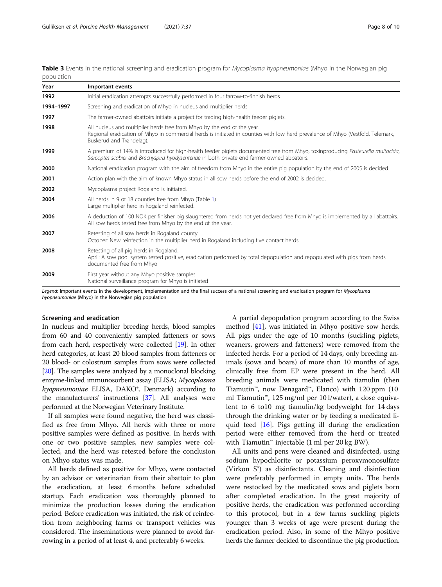<span id="page-7-0"></span>

| Table 3 Events in the national screening and eradication program for Mycoplasma hyopneumoniae (Mhyo in the Norwegian pig |  |  |  |  |  |
|--------------------------------------------------------------------------------------------------------------------------|--|--|--|--|--|
| population                                                                                                               |  |  |  |  |  |

| Year      | Important events                                                                                                                                                                                                                       |  |  |  |
|-----------|----------------------------------------------------------------------------------------------------------------------------------------------------------------------------------------------------------------------------------------|--|--|--|
| 1992      | Initial eradication attempts successfully performed in four farrow-to-finnish herds                                                                                                                                                    |  |  |  |
| 1994-1997 | Screening and eradication of Mhyo in nucleus and multiplier herds                                                                                                                                                                      |  |  |  |
| 1997      | The farmer-owned abattoirs initiate a project for trading high-health feeder piglets.                                                                                                                                                  |  |  |  |
| 1998      | All nucleus and multiplier herds free from Mhyo by the end of the year.<br>Regional eradication of Mhyo in commercial herds is initiated in counties with low herd prevalence of Mhyo (Vestfold, Telemark,<br>Buskerud and Trøndelag). |  |  |  |
| 1999      | A premium of 14% is introduced for high-health feeder piglets documented free from Mhyo, toxinproducing Pasteurella multocida,<br>Sarcoptes scabiei and Brachyspira hyodysenteriae in both private end farmer-owned abbatoirs.         |  |  |  |
| 2000      | National eradication program with the aim of freedom from Mhyo in the entire pig population by the end of 2005 is decided.                                                                                                             |  |  |  |
| 2001      | Action plan with the aim of known Mhyo status in all sow herds before the end of 2002 is decided.                                                                                                                                      |  |  |  |
| 2002      | Mycoplasma project Rogaland is initiated.                                                                                                                                                                                              |  |  |  |
| 2004      | All herds in 9 of 18 counties free from Mhyo (Table 1)<br>Large multiplier herd in Rogaland reinfected.                                                                                                                                |  |  |  |
| 2006      | A deduction of 100 NOK per finisher pig slaughtered from herds not yet declared free from Mhyo is implemented by all abattoirs.<br>All sow herds tested free from Mhyo by the end of the year.                                         |  |  |  |
| 2007      | Retesting of all sow herds in Rogaland county.<br>October: New reinfection in the multiplier herd in Rogaland including five contact herds.                                                                                            |  |  |  |
| 2008      | Retesting of all pig herds in Rogaland.<br>April: A sow pool system tested positive, eradication performed by total depopulation and repopulated with pigs from herds<br>documented free from Mhyo                                     |  |  |  |
| 2009      | First year without any Mhyo positive samples<br>National surveillance program for Mhyo is initiated                                                                                                                                    |  |  |  |

Legend: Important events in the development, implementation and the final success of a national screening and eradication program for Mycoplasma hyopneumoniae (Mhyo) in the Norwegian pig population

#### Screening and eradication

In nucleus and multiplier breeding herds, blood samples from 60 and 40 conveniently sampled fatteners or sows from each herd, respectively were collected [[19](#page-9-0)]. In other herd categories, at least 20 blood samples from fatteners or 20 blood- or colostrum samples from sows were collected [[20](#page-9-0)]. The samples were analyzed by a monoclonal blocking enzyme-linked immunosorbent assay (ELISA; Mycoplasma hyopneumoniae ELISA, DAKO®, Denmark) according to the manufacturers' instructions [\[37\]](#page-9-0). All analyses were performed at the Norwegian Veterinary Institute.

If all samples were found negative, the herd was classified as free from Mhyo. All herds with three or more positive samples were defined as positive. In herds with one or two positive samples, new samples were collected, and the herd was retested before the conclusion on Mhyo status was made.

All herds defined as positive for Mhyo, were contacted by an advisor or veterinarian from their abattoir to plan the eradication, at least 6 months before scheduled startup. Each eradication was thoroughly planned to minimize the production losses during the eradication period. Before eradication was initiated, the risk of reinfection from neighboring farms or transport vehicles was considered. The inseminations were planned to avoid farrowing in a period of at least 4, and preferably 6 weeks.

A partial depopulation program according to the Swiss method [\[41](#page-9-0)], was initiated in Mhyo positive sow herds. All pigs under the age of 10 months (suckling piglets, weaners, growers and fatteners) were removed from the infected herds. For a period of 14 days, only breeding animals (sows and boars) of more than 10 months of age, clinically free from EP were present in the herd. All breeding animals were medicated with tiamulin (then Tiamutin™, now Denagard™, Elanco) with 120 ppm (10 ml Tiamutin™, 125 mg/ml per 10 l/water), a dose equivalent to 6 to10 mg tiamulin/kg bodyweight for 14 days through the drinking water or by feeding a medicated liquid feed [[16\]](#page-9-0). Pigs getting ill during the eradication period were either removed from the herd or treated with Tiamutin™ injectable (1 ml per 20 kg BW).

All units and pens were cleaned and disinfected, using sodium hypochlorite or potassium peroxymonosulfate (Virkon S®) as disinfectants. Cleaning and disinfection were preferably performed in empty units. The herds were restocked by the medicated sows and piglets born after completed eradication. In the great majority of positive herds, the eradication was performed according to this protocol, but in a few farms suckling piglets younger than 3 weeks of age were present during the eradication period. Also, in some of the Mhyo positive herds the farmer decided to discontinue the pig production.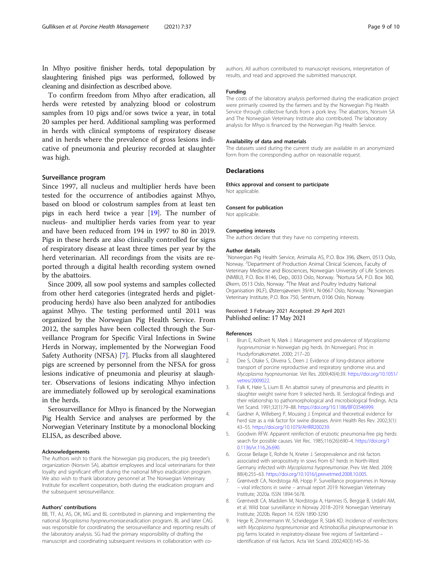<span id="page-8-0"></span>In Mhyo positive finisher herds, total depopulation by slaughtering finished pigs was performed, followed by cleaning and disinfection as described above.

To confirm freedom from Mhyo after eradication, all herds were retested by analyzing blood or colostrum samples from 10 pigs and/or sows twice a year, in total 20 samples per herd. Additional sampling was performed in herds with clinical symptoms of respiratory disease and in herds where the prevalence of gross lesions indicative of pneumonia and pleurisy recorded at slaughter was high.

#### Surveillance program

Since 1997, all nucleus and multiplier herds have been tested for the occurrence of antibodies against Mhyo, based on blood or colostrum samples from at least ten pigs in each herd twice a year  $[19]$  $[19]$  $[19]$ . The number of nucleus- and multiplier herds varies from year to year and have been reduced from 194 in 1997 to 80 in 2019. Pigs in these herds are also clinically controlled for signs of respiratory disease at least three times per year by the herd veterinarian. All recordings from the visits are reported through a digital health recording system owned by the abattoirs.

Since 2009, all sow pool systems and samples collected from other herd categories (integrated herds and pigletproducing herds) have also been analyzed for antibodies against Mhyo. The testing performed until 2011 was organized by the Norwegian Pig Health Service. From 2012, the samples have been collected through the Surveillance Program for Specific Viral Infections in Swine Herds in Norway, implemented by the Norwegian Food Safety Authority (NFSA) [7]. Plucks from all slaughtered pigs are screened by personnel from the NFSA for gross lesions indicative of pneumonia and pleurisy at slaughter. Observations of lesions indicating Mhyo infection are immediately followed up by serological examinations in the herds.

Serosurveillance for Mhyo is financed by the Norwegian Pig Health Service and analyses are performed by the Norwegian Veterinary Institute by a monoclonal blocking ELISA, as described above.

#### Acknowledgements

The Authors wish to thank the Norwegian pig producers, the pig breeder's organization (Norsvin SA), abattoir employees and local veterinarians for their loyalty and significant effort during the national Mhyo eradication program. We also wish to thank laboratory personnel at The Norwegian Veterinary Institute for excellent cooperation, both during the eradication program and the subsequent serosurveillance.

#### Authors' contributions

BB, TF, AJ, AS, OK, MG and BL contributed in planning and implementing the national Mycoplasma hyopneumoniae.eradication program. BL and later CAG was responsible for coordinating the serosurveillance and reporting results of the laboratory analysis. SG had the primary responsibility of drafting the manuscript and coordinating subsequent revisions in collaboration with coauthors. All authors contributed to manuscript revisions, interpretation of results, and read and approved the submitted manuscript.

#### Funding

The costs of the laboratory analysis performed during the eradication project were primarily covered by the farmers and by the Norwegian Pig Health Service through collective funds from a pork levy. The abattoirs, Norsvin SA and The Norwegian Veterinary Institute also contributed. The laboratory analysis for Mhyo is financed by the Norwegian Pig Health Service.

#### Availability of data and materials

The datasets used during the current study are available in an anonymized form from the corresponding author on reasonable request.

#### **Declarations**

Ethics approval and consent to participate Not applicable.

#### Consent for publication

Not applicable.

#### Competing interests

The authors declare that they have no competing interests.

#### Author details

1 Norwegian Pig Health Service, Animalia AS, P.O. Box 396, Økern, 0513 Oslo, Norway.<sup>2</sup> Department of Production Animal Clinical Sciences, Faculty of Veterinary Medicine and Biosciences, Norwegian University of Life Sciences (NMBU), P.O. Box 8146, Dep., 0033 Oslo, Norway. <sup>3</sup> Nortura SA, P.O. Box 360, Økern, 0513 Oslo, Norway. <sup>4</sup>The Meat and Poultry Industry National Organisation (KLF), Østensjøveien 39/41, N-0667 Oslo, Norway. <sup>5</sup>Norwegian Veterinary Institute, P.O. Box 750, Sentrum, 0106 Oslo, Norway.

### Received: 3 February 2021 Accepted: 29 April 2021 Published online: 17 May 2021

#### References

- 1. Brun E, Kolltveit N, Mørk J. Management and prevalence of Mycoplasma hyopneumoniae in Norwegian pig herds. (In Norwegian). Proc in Husdyrforsøksmøtet. 2000; 217–20.
- 2. Dee S, Otake S, Oliveira S, Deen J. Evidence of long-distance airborne transport of porcine reproductive and respiratory syndrome virus and Mycoplasma hyopneumoniae. Vet Res. 2009;40(4):39. [https://doi.org/10.1051/](https://doi.org/10.1051/vetres/2009022) [vetres/2009022.](https://doi.org/10.1051/vetres/2009022)
- 3. Falk K, Høie S, Lium B. An abattoir survey of pneumonia and pleuritis in slaughter weight swine from 9 selected herds. III. Serological findings and their relationship to pathomorphological and microbiological findings. Acta Vet Scand. 1991;32(1):79–88. <https://doi.org/10.1186/BF03546999>.
- 4. Gardner A, Willeberg P, Mousing J. Empirical and theoretical evidence for herd size as a risk factor for swine diseases. Anim Health Res Rev. 2002;3(1): 43–55. [https://doi.org/10.1079/AHRR200239.](https://doi.org/10.1079/AHRR200239)
- 5. Goodwin RFW. Apparent reinfection of enzootic pneumonia-free pig herds: search for possible causes. Vet Rec. 1985;116(26):690–4. [https://doi.org/1](https://doi.org/10.1136/vr.116.26.690) [0.1136/vr.116.26.690.](https://doi.org/10.1136/vr.116.26.690)
- 6. Grosse Beilage E, Rohde N, Krieter J. Seroprevalence and risk factors associated with seropositivity in sows from 67 herds in North-West Germany infected with Mycoplasma hyopneumoniae. Prev Vet Med. 2009; 88(4):255–63. <https://doi.org/10.1016/j.prevetmed.2008.10.005>.
- 7. Grøntvedt CA, Nordstoga AB, Hopp P. Surveillance programmes in Norway – viral infections in swine – annual report 2019: Norwegian Veterinary Institute; 2020a. ISSN 1894-5678.
- 8. Grøntvedt CA, Madslien M, Nordstoga A, Hamnes IS, Bergsjø B, Urdahl AM, et al. Wild boar surveillance in Norway 2018–2019: Norwegian Veterinary Institute; 2020b. Report 14. ISSN 1890-3290
- 9. Hege R, Zimmermann W, Scheidegger R, Stärk KD. Incidence of reinfections with Mycoplasma hyopneumoniae and Actinobacillus pleuropneumoniae in pig farms located in respiratory-disease free regions of Switzerland – identification of risk factors. Acta Vet Scand. 2002;40(3):145–56.